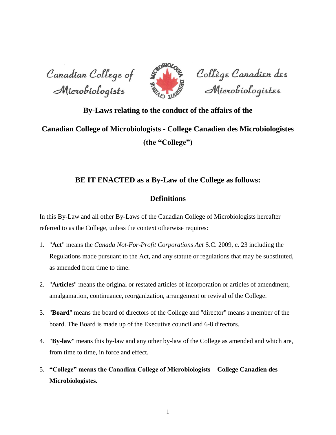Canadian College of Microbiologists



Collège Canadien des<br>Microbiologistes

## **By-Laws relating to the conduct of the affairs of the**

# **Canadian College of Microbiologists - College Canadien des Microbiologistes (the "College")**

## **BE IT ENACTED as a By-Law of the College as follows:**

## **Definitions**

In this By-Law and all other By-Laws of the Canadian College of Microbiologists hereafter referred to as the College, unless the context otherwise requires:

- 1. "**Act**" means the *Canada Not-For-Profit Corporations Act* S.C. 2009, c. 23 including the Regulations made pursuant to the Act, and any statute or regulations that may be substituted, as amended from time to time.
- 2. "**Articles**" means the original or restated articles of incorporation or articles of amendment, amalgamation, continuance, reorganization, arrangement or revival of the College.
- 3. "**Board**" means the board of directors of the College and "director" means a member of the board. The Board is made up of the Executive council and 6-8 directors.
- 4. "**By-law**" means this by-law and any other by-law of the College as amended and which are, from time to time, in force and effect.
- 5. **"College" means the Canadian College of Microbiologists – College Canadien des Microbiologistes.**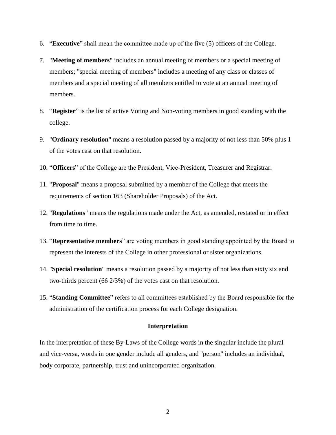- 6. "**Executive**" shall mean the committee made up of the five (5) officers of the College.
- 7. "**Meeting of members**" includes an annual meeting of members or a special meeting of members; "special meeting of members" includes a meeting of any class or classes of members and a special meeting of all members entitled to vote at an annual meeting of members.
- 8. "**Register**" is the list of active Voting and Non-voting members in good standing with the college.
- 9. "**Ordinary resolution**" means a resolution passed by a majority of not less than 50% plus 1 of the votes cast on that resolution.
- 10. "**Officers**" of the College are the President, Vice-President, Treasurer and Registrar.
- 11. "**Proposal**" means a proposal submitted by a member of the College that meets the requirements of section 163 (Shareholder Proposals) of the Act.
- 12. "**Regulations**" means the regulations made under the Act, as amended, restated or in effect from time to time.
- 13. "**Representative members**" are voting members in good standing appointed by the Board to represent the interests of the College in other professional or sister organizations.
- 14. "**Special resolution**" means a resolution passed by a majority of not less than sixty six and two-thirds percent (66 2/3%) of the votes cast on that resolution.
- 15. "**Standing Committee**" refers to all committees established by the Board responsible for the administration of the certification process for each College designation.

#### **Interpretation**

In the interpretation of these By-Laws of the College words in the singular include the plural and vice-versa, words in one gender include all genders, and "person" includes an individual, body corporate, partnership, trust and unincorporated organization.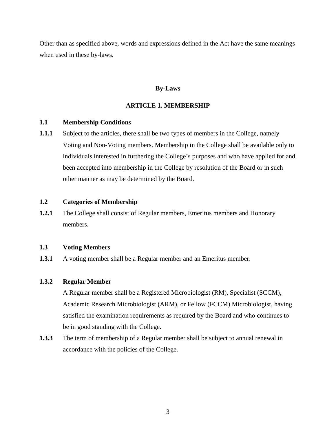Other than as specified above, words and expressions defined in the Act have the same meanings when used in these by-laws.

## **By-Laws**

## **ARTICLE 1. MEMBERSHIP**

## **1.1 Membership Conditions**

**1.1.1** Subject to the articles, there shall be two types of members in the College, namely Voting and Non-Voting members. Membership in the College shall be available only to individuals interested in furthering the College's purposes and who have applied for and been accepted into membership in the College by resolution of the Board or in such other manner as may be determined by the Board.

## **1.2 Categories of Membership**

**1.2.1** The College shall consist of Regular members, Emeritus members and Honorary members.

## **1.3 Voting Members**

**1.3.1** A voting member shall be a Regular member and an Emeritus member.

## **1.3.2 Regular Member**

A Regular member shall be a Registered Microbiologist (RM), Specialist (SCCM), Academic Research Microbiologist (ARM), or Fellow (FCCM) Microbiologist, having satisfied the examination requirements as required by the Board and who continues to be in good standing with the College.

**1.3.3** The term of membership of a Regular member shall be subject to annual renewal in accordance with the policies of the College.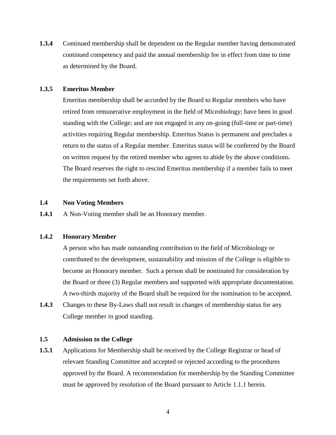**1.3.4** Continued membership shall be dependent on the Regular member having demonstrated continued competency and paid the annual membership fee in effect from time to time as determined by the Board.

#### **1.3.5 Emeritus Member**

Emeritus membership shall be accorded by the Board to Regular members who have retired from remunerative employment in the field of Microbiology; have been in good standing with the College; and are not engaged in any on-going (full-time or part-time) activities requiring Regular membership. Emeritus Status is permanent and precludes a return to the status of a Regular member. Emeritus status will be conferred by the Board on written request by the retired member who agrees to abide by the above conditions. The Board reserves the right to rescind Emeritus membership if a member fails to meet the requirements set forth above.

## **1.4 Non Voting Members**

**1.4.1** A Non-Voting member shall be an Honorary member.

## **1.4.2 Honorary Member**

A person who has made outstanding contribution to the field of Microbiology or contributed to the development, sustainability and mission of the College is eligible to become an Honorary member. Such a person shall be nominated for consideration by the Board or three (3) Regular members and supported with appropriate documentation. A two-thirds majority of the Board shall be required for the nomination to be accepted.

**1.4.3** Changes to these By-Laws shall not result in changes of membership status for any College member in good standing.

## **1.5 Admission to the College**

**1.5.1** Applications for Membership shall be received by the College Registrar or head of relevant Standing Committee and accepted or rejected according to the procedures approved by the Board. A recommendation for membership by the Standing Committee must be approved by resolution of the Board pursuant to Article 1.1.1 herein.

4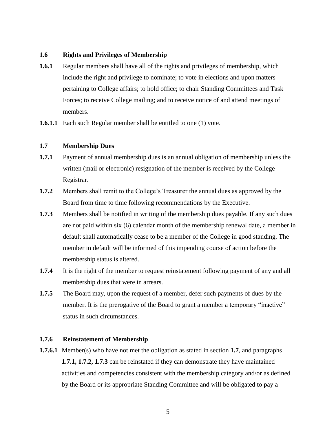## **1.6 Rights and Privileges of Membership**

- **1.6.1** Regular members shall have all of the rights and privileges of membership, which include the right and privilege to nominate; to vote in elections and upon matters pertaining to College affairs; to hold office; to chair Standing Committees and Task Forces; to receive College mailing; and to receive notice of and attend meetings of members.
- **1.6.1.1** Each such Regular member shall be entitled to one (1) vote.

## **1.7 Membership Dues**

- **1.7.1** Payment of annual membership dues is an annual obligation of membership unless the written (mail or electronic) resignation of the member is received by the College Registrar.
- **1.7.2** Members shall remit to the College's Treasurer the annual dues as approved by the Board from time to time following recommendations by the Executive.
- **1.7.3** Members shall be notified in writing of the membership dues payable. If any such dues are not paid within six (6) calendar month of the membership renewal date, a member in default shall automatically cease to be a member of the College in good standing. The member in default will be informed of this impending course of action before the membership status is altered.
- **1.7.4** It is the right of the member to request reinstatement following payment of any and all membership dues that were in arrears.
- **1.7.5** The Board may, upon the request of a member, defer such payments of dues by the member. It is the prerogative of the Board to grant a member a temporary "inactive" status in such circumstances.

## **1.7.6 Reinstatement of Membership**

**1.7.6.1** Member(s) who have not met the obligation as stated in section **1.7**, and paragraphs **1.7.1, 1.7.2, 1.7.3** can be reinstated if they can demonstrate they have maintained activities and competencies consistent with the membership category and/or as defined by the Board or its appropriate Standing Committee and will be obligated to pay a

5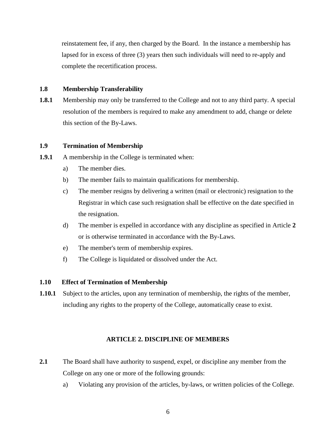reinstatement fee, if any, then charged by the Board. In the instance a membership has lapsed for in excess of three (3) years then such individuals will need to re-apply and complete the recertification process.

## **1.8 Membership Transferability**

**1.8.1** Membership may only be transferred to the College and not to any third party. A special resolution of the members is required to make any amendment to add, change or delete this section of the By-Laws.

## **1.9 Termination of Membership**

- **1.9.1** A membership in the College is terminated when:
	- a) The member dies.
	- b) The member fails to maintain qualifications for membership.
	- c) The member resigns by delivering a written (mail or electronic) resignation to the Registrar in which case such resignation shall be effective on the date specified in the resignation.
	- d) The member is expelled in accordance with any discipline as specified in Article **2**  or is otherwise terminated in accordance with the By-Laws.
	- e) The member's term of membership expires.
	- f) The College is liquidated or dissolved under the Act.

## **1.10 Effect of Termination of Membership**

**1.10.1** Subject to the articles, upon any termination of membership, the rights of the member, including any rights to the property of the College, automatically cease to exist.

## **ARTICLE 2. DISCIPLINE OF MEMBERS**

- **2.1** The Board shall have authority to suspend, expel, or discipline any member from the College on any one or more of the following grounds:
	- a) Violating any provision of the articles, by-laws, or written policies of the College.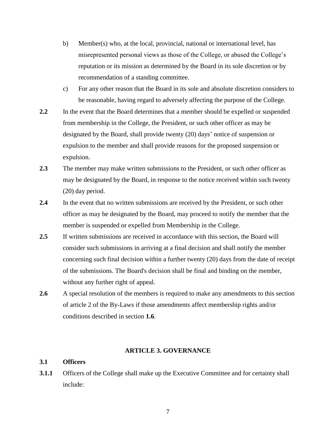- b) Member(s) who, at the local, provincial, national or international level, has misrepresented personal views as those of the College, or abused the College's reputation or its mission as determined by the Board in its sole discretion or by recommendation of a standing committee.
- c) For any other reason that the Board in its sole and absolute discretion considers to be reasonable, having regard to adversely affecting the purpose of the College.
- **2.2** In the event that the Board determines that a member should be expelled or suspended from membership in the College, the President, or such other officer as may be designated by the Board, shall provide twenty (20) days' notice of suspension or expulsion to the member and shall provide reasons for the proposed suspension or expulsion.
- **2.3** The member may make written submissions to the President, or such other officer as may be designated by the Board, in response to the notice received within such twenty (20) day period.
- 2.4 In the event that no written submissions are received by the President, or such other officer as may be designated by the Board, may proceed to notify the member that the member is suspended or expelled from Membership in the College.
- 2.5 If written submissions are received in accordance with this section, the Board will consider such submissions in arriving at a final decision and shall notify the member concerning such final decision within a further twenty (20) days from the date of receipt of the submissions. The Board's decision shall be final and binding on the member, without any further right of appeal.
- 2.6 A special resolution of the members is required to make any amendments to this section of article 2 of the By-Laws if those amendments affect membership rights and/or conditions described in section **1.6**.

## **ARTICLE 3. GOVERNANCE**

#### **3.1 Officers**

**3.1.1** Officers of the College shall make up the Executive Committee and for certainty shall include: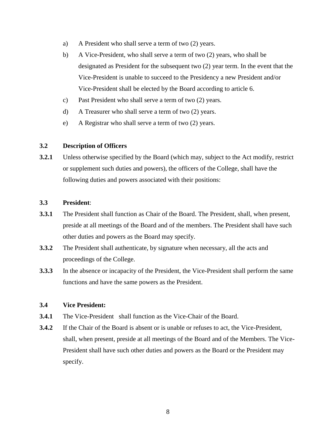- a) A President who shall serve a term of two (2) years.
- b) A Vice-President, who shall serve a term of two (2) years, who shall be designated as President for the subsequent two (2) year term. In the event that the Vice-President is unable to succeed to the Presidency a new President and/or Vice-President shall be elected by the Board according to article 6.
- c) Past President who shall serve a term of two (2) years.
- d) A Treasurer who shall serve a term of two (2) years.
- e) A Registrar who shall serve a term of two (2) years.

## **3.2 Description of Officers**

**3.2.1** Unless otherwise specified by the Board (which may, subject to the Act modify, restrict or supplement such duties and powers), the officers of the College, shall have the following duties and powers associated with their positions:

## **3.3 President**:

- **3.3.1** The President shall function as Chair of the Board. The President, shall, when present, preside at all meetings of the Board and of the members. The President shall have such other duties and powers as the Board may specify.
- **3.3.2** The President shall authenticate, by signature when necessary, all the acts and proceedings of the College.
- **3.3.3** In the absence or incapacity of the President, the Vice-President shall perform the same functions and have the same powers as the President.

## **3.4 Vice President:**

- **3.4.1** The Vice-President shall function as the Vice-Chair of the Board.
- **3.4.2** If the Chair of the Board is absent or is unable or refuses to act, the Vice-President, shall, when present, preside at all meetings of the Board and of the Members. The Vice-President shall have such other duties and powers as the Board or the President may specify.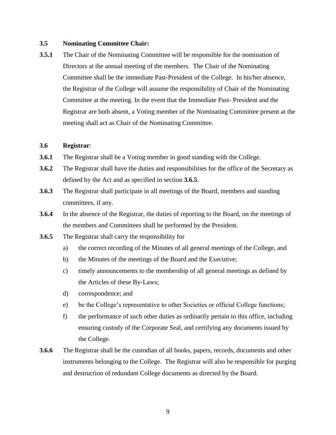## **3.5 Nominating Committee Chair:**

**3.5.1** The Chair of the Nominating Committee will be responsible for the nomination of Directors at the annual meeting of the members. The Chair of the Nominating Committee shall be the immediate Past-President of the College. In his/her absence, the Registrar of the College will assume the responsibility of Chair of the Nominating Committee at the meeting. In the event that the Immediate Past- President and the Registrar are both absent, a Voting member of the Nominating Committee present at the meeting shall act as Chair of the Nominating Committee.

## **3.6 Registrar**:

- **3.6.1** The Registrar shall be a Voting member in good standing with the College.
- **3.6.2** The Registrar shall have the duties and responsibilities for the office of the Secretary as defined by the Act and as specified in section **3.6.5**.
- **3.6.3** The Registrar shall participate in all meetings of the Board, members and standing committees, if any.
- **3.6.4** In the absence of the Registrar, the duties of reporting to the Board, on the meetings of the members and Committees shall be performed by the President.
- **3.6.5** The Registrar shall carry the responsibility for
	- a) the correct recording of the Minutes of all general meetings of the College, and
	- b) the Minutes of the meetings of the Board and the Executive;
	- c) timely announcements to the membership of all general meetings as defined by the Articles of these By-Laws;
	- d) correspondence; and
	- e) be the College's representative to other Societies or official College functions;
	- f) the performance of such other duties as ordinarily pertain to this office, including ensuring custody of the Corporate Seal, and certifying any documents issued by the College.
- **3.6.6** The Registrar shall be the custodian of all books, papers, records, documents and other instruments belonging to the College. The Registrar will also be responsible for purging and destruction of redundant College documents as directed by the Board.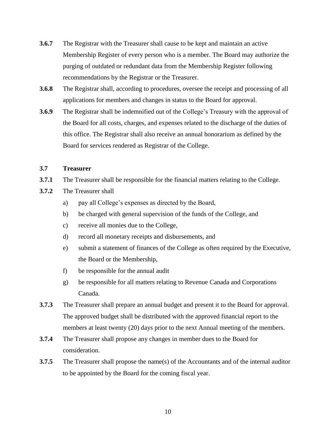- **3.6.7** The Registrar with the Treasurer shall cause to be kept and maintain an active Membership Register of every person who is a member. The Board may authorize the purging of outdated or redundant data from the Membership Register following recommendations by the Registrar or the Treasurer.
- **3.6.8** The Registrar shall, according to procedures, oversee the receipt and processing of all applications for members and changes in status to the Board for approval.
- **3.6.9** The Registrar shall be indemnified out of the College's Treasury with the approval of the Board for all costs, charges, and expenses related to the discharge of the duties of this office. The Registrar shall also receive an annual honorarium as defined by the Board for services rendered as Registrar of the College.

## **3.7 Treasurer**

- **3.7.1** The Treasurer shall be responsible for the financial matters relating to the College.
- **3.7.2** The Treasurer shall
	- a) pay all College's expenses as directed by the Board,
	- b) be charged with general supervision of the funds of the College, and
	- c) receive all monies due to the College,
	- d) record all monetary receipts and disbursements, and
	- e) submit a statement of finances of the College as often required by the Executive, the Board or the Membership,
	- f) be responsible for the annual audit
	- g) be responsible for all matters relating to Revenue Canada and Corporations Canada.
- **3.7.3** The Treasurer shall prepare an annual budget and present it to the Board for approval. The approved budget shall be distributed with the approved financial report to the members at least twenty (20) days prior to the next Annual meeting of the members.
- **3.7.4** The Treasurer shall propose any changes in member dues to the Board for consideration.
- **3.7.5** The Treasurer shall propose the name(s) of the Accountants and of the internal auditor to be appointed by the Board for the coming fiscal year.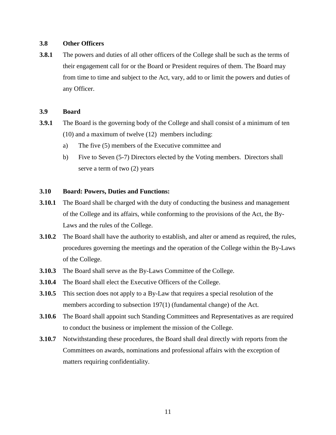## **3.8 Other Officers**

**3.8.1** The powers and duties of all other officers of the College shall be such as the terms of their engagement call for or the Board or President requires of them. The Board may from time to time and subject to the Act, vary, add to or limit the powers and duties of any Officer.

## **3.9 Board**

- **3.9.1** The Board is the governing body of the College and shall consist of a minimum of ten (10) and a maximum of twelve (12) members including:
	- a) The five (5) members of the Executive committee and
	- b) Five to Seven (5-7) Directors elected by the Voting members. Directors shall serve a term of two (2) years

## **3.10 Board: Powers, Duties and Functions:**

- **3.10.1** The Board shall be charged with the duty of conducting the business and management of the College and its affairs, while conforming to the provisions of the Act, the By-Laws and the rules of the College.
- **3.10.2** The Board shall have the authority to establish, and alter or amend as required, the rules, procedures governing the meetings and the operation of the College within the By-Laws of the College.
- **3.10.3** The Board shall serve as the By-Laws Committee of the College.
- **3.10.4** The Board shall elect the Executive Officers of the College.
- **3.10.5** This section does not apply to a By-Law that requires a special resolution of the members according to subsection 197(1) (fundamental change) of the Act.
- **3.10.6** The Board shall appoint such Standing Committees and Representatives as are required to conduct the business or implement the mission of the College.
- **3.10.7** Notwithstanding these procedures, the Board shall deal directly with reports from the Committees on awards, nominations and professional affairs with the exception of matters requiring confidentiality.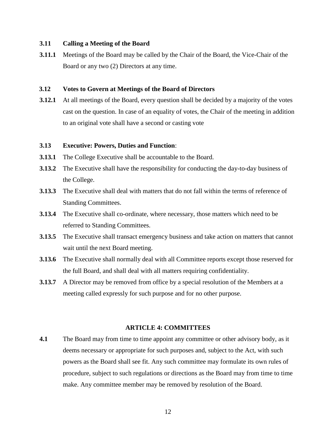#### **3.11 Calling a Meeting of the Board**

**3.11.1** Meetings of the Board may be called by the Chair of the Board, the Vice-Chair of the Board or any two (2) Directors at any time.

## **3.12 Votes to Govern at Meetings of the Board of Directors**

**3.12.1** At all meetings of the Board, every question shall be decided by a majority of the votes cast on the question. In case of an equality of votes, the Chair of the meeting in addition to an original vote shall have a second or casting vote

## **3.13 Executive: Powers, Duties and Function**:

- **3.13.1** The College Executive shall be accountable to the Board.
- **3.13.2** The Executive shall have the responsibility for conducting the day-to-day business of the College.
- **3.13.3** The Executive shall deal with matters that do not fall within the terms of reference of Standing Committees.
- **3.13.4** The Executive shall co-ordinate, where necessary, those matters which need to be referred to Standing Committees.
- **3.13.5** The Executive shall transact emergency business and take action on matters that cannot wait until the next Board meeting.
- **3.13.6** The Executive shall normally deal with all Committee reports except those reserved for the full Board, and shall deal with all matters requiring confidentiality.
- **3.13.7** A Director may be removed from office by a special resolution of the Members at a meeting called expressly for such purpose and for no other purpose.

#### **ARTICLE 4: COMMITTEES**

**4.1** The Board may from time to time appoint any committee or other advisory body, as it deems necessary or appropriate for such purposes and, subject to the Act, with such powers as the Board shall see fit. Any such committee may formulate its own rules of procedure, subject to such regulations or directions as the Board may from time to time make. Any committee member may be removed by resolution of the Board.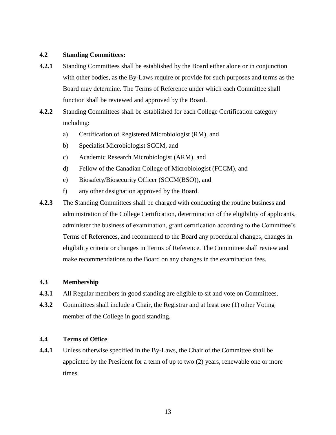## **4.2 Standing Committees:**

- **4.2.1** Standing Committees shall be established by the Board either alone or in conjunction with other bodies, as the By-Laws require or provide for such purposes and terms as the Board may determine. The Terms of Reference under which each Committee shall function shall be reviewed and approved by the Board.
- **4.2.2** Standing Committees shall be established for each College Certification category including:
	- a) Certification of Registered Microbiologist (RM), and
	- b) Specialist Microbiologist SCCM, and
	- c) Academic Research Microbiologist (ARM), and
	- d) Fellow of the Canadian College of Microbiologist (FCCM), and
	- e) Biosafety/Biosecurity Officer (SCCM(BSO)), and
	- f) any other designation approved by the Board.
- **4.2.3** The Standing Committees shall be charged with conducting the routine business and administration of the College Certification, determination of the eligibility of applicants, administer the business of examination, grant certification according to the Committee's Terms of References, and recommend to the Board any procedural changes, changes in eligibility criteria or changes in Terms of Reference. The Committee shall review and make recommendations to the Board on any changes in the examination fees.

## **4.3 Membership**

- **4.3.1** All Regular members in good standing are eligible to sit and vote on Committees.
- **4.3.2** Committees shall include a Chair, the Registrar and at least one (1) other Voting member of the College in good standing.

## **4.4 Terms of Office**

**4.4.1** Unless otherwise specified in the By-Laws, the Chair of the Committee shall be appointed by the President for a term of up to two (2) years, renewable one or more times.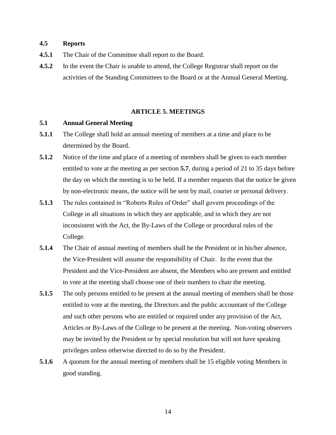## **4.5 Reports**

- **4.5.1** The Chair of the Committee shall report to the Board.
- **4.5.2** In the event the Chair is unable to attend, the College Registrar shall report on the activities of the Standing Committees to the Board or at the Annual General Meeting.

#### **ARTICLE 5. MEETINGS**

#### **5.1 Annual General Meeting**

- **5.1.1** The College shall hold an annual meeting of members at a time and place to be determined by the Board.
- **5.1.2** Notice of the time and place of a meeting of members shall be given to each member entitled to vote at the meeting as per section **5.7**, during a period of 21 to 35 days before the day on which the meeting is to be held. If a member requests that the notice be given by non-electronic means, the notice will be sent by mail, courier or personal delivery.
- **5.1.3** The rules contained in "Roberts Rules of Order" shall govern proceedings of the College in all situations in which they are applicable, and in which they are not inconsistent with the Act, the By-Laws of the College or procedural rules of the College.
- **5.1.4** The Chair of annual meeting of members shall be the President or in his/her absence, the Vice-President will assume the responsibility of Chair. In the event that the President and the Vice-President are absent, the Members who are present and entitled to vote at the meeting shall choose one of their numbers to chair the meeting.
- **5.1.5** The only persons entitled to be present at the annual meeting of members shall be those entitled to vote at the meeting, the Directors and the public accountant of the College and such other persons who are entitled or required under any provision of the Act, Articles or By-Laws of the College to be present at the meeting. Non-voting observers may be invited by the President or by special resolution but will not have speaking privileges unless otherwise directed to do so by the President.
- **5.1.6** A quorum for the annual meeting of members shall be 15 eligible voting Members in good standing.

14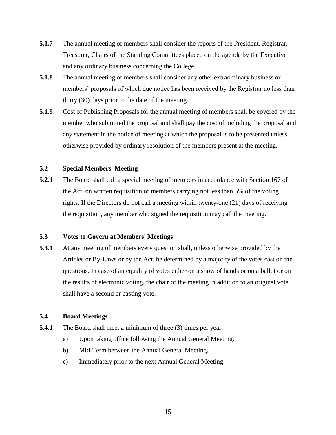- **5.1.7** The annual meeting of members shall consider the reports of the President, Registrar, Treasurer, Chairs of the Standing Committees placed on the agenda by the Executive and any ordinary business concerning the College.
- **5.1.8** The annual meeting of members shall consider any other extraordinary business or members' proposals of which due notice has been received by the Registrar no less than thirty (30) days prior to the date of the meeting.
- **5.1.9** Cost of Publishing Proposals for the annual meeting of members shall be covered by the member who submitted the proposal and shall pay the cost of including the proposal and any statement in the notice of meeting at which the proposal is to be presented unless otherwise provided by ordinary resolution of the members present at the meeting.

## **5.2 Special Members' Meeting**

**5.2.1** The Board shall call a special meeting of members in accordance with Section 167 of the Act, on written requisition of members carrying not less than 5% of the voting rights. If the Directors do not call a meeting within twenty-one (21) days of receiving the requisition, any member who signed the requisition may call the meeting.

## **5.3 Votes to Govern at Members' Meetings**

**5.3.1** At any meeting of members every question shall, unless otherwise provided by the Articles or By-Laws or by the Act, be determined by a majority of the votes cast on the questions. In case of an equality of votes either on a show of hands or on a ballot or on the results of electronic voting, the chair of the meeting in addition to an original vote shall have a second or casting vote.

## **5.4 Board Meetings**

- **5.4.1** The Board shall meet a minimum of three (3) times per year:
	- a) Upon taking office following the Annual General Meeting.
	- b) Mid-Term between the Annual General Meeting.
	- c) Immediately prior to the next Annual General Meeting.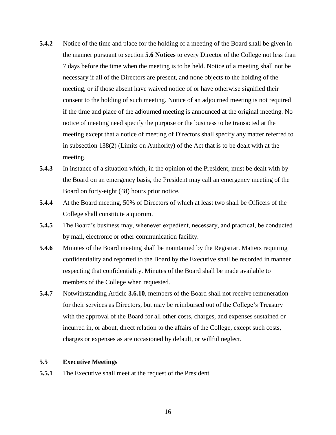- **5.4.2** Notice of the time and place for the holding of a meeting of the Board shall be given in the manner pursuant to section **5.6 Notices** to every Director of the College not less than 7 days before the time when the meeting is to be held. Notice of a meeting shall not be necessary if all of the Directors are present, and none objects to the holding of the meeting, or if those absent have waived notice of or have otherwise signified their consent to the holding of such meeting. Notice of an adjourned meeting is not required if the time and place of the adjourned meeting is announced at the original meeting. No notice of meeting need specify the purpose or the business to be transacted at the meeting except that a notice of meeting of Directors shall specify any matter referred to in subsection 138(2) (Limits on Authority) of the Act that is to be dealt with at the meeting.
- **5.4.3** In instance of a situation which, in the opinion of the President, must be dealt with by the Board on an emergency basis, the President may call an emergency meeting of the Board on forty-eight (48) hours prior notice.
- **5.4.4** At the Board meeting, 50% of Directors of which at least two shall be Officers of the College shall constitute a quorum.
- **5.4.5** The Board's business may, whenever expedient, necessary, and practical, be conducted by mail, electronic or other communication facility.
- **5.4.6** Minutes of the Board meeting shall be maintained by the Registrar. Matters requiring confidentiality and reported to the Board by the Executive shall be recorded in manner respecting that confidentiality. Minutes of the Board shall be made available to members of the College when requested.
- **5.4.7** Notwithstanding Article **3.6.10**, members of the Board shall not receive remuneration for their services as Directors, but may be reimbursed out of the College's Treasury with the approval of the Board for all other costs, charges, and expenses sustained or incurred in, or about, direct relation to the affairs of the College, except such costs, charges or expenses as are occasioned by default, or willful neglect.

#### **5.5 Executive Meetings**

**5.5.1** The Executive shall meet at the request of the President.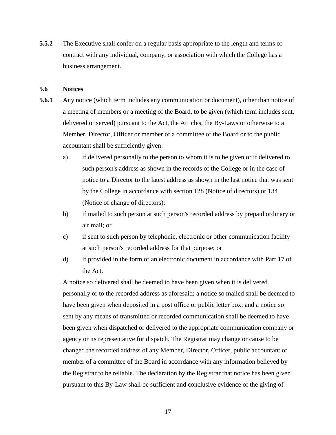**5.5.2** The Executive shall confer on a regular basis appropriate to the length and terms of contract with any individual, company, or association with which the College has a business arrangement.

## **5.6 Notices**

- **5.6.1** Any notice (which term includes any communication or document), other than notice of a meeting of members or a meeting of the Board, to be given (which term includes sent, delivered or served) pursuant to the Act, the Articles, the By-Laws or otherwise to a Member, Director, Officer or member of a committee of the Board or to the public accountant shall be sufficiently given:
	- a) if delivered personally to the person to whom it is to be given or if delivered to such person's address as shown in the records of the College or in the case of notice to a Director to the latest address as shown in the last notice that was sent by the College in accordance with section 128 (Notice of directors) or 134 (Notice of change of directors);
	- b) if mailed to such person at such person's recorded address by prepaid ordinary or air mail; or
	- c) if sent to such person by telephonic, electronic or other communication facility at such person's recorded address for that purpose; or
	- d) if provided in the form of an electronic document in accordance with Part 17 of the Act.

A notice so delivered shall be deemed to have been given when it is delivered personally or to the recorded address as aforesaid; a notice so mailed shall be deemed to have been given when deposited in a post office or public letter box; and a notice so sent by any means of transmitted or recorded communication shall be deemed to have been given when dispatched or delivered to the appropriate communication company or agency or its representative for dispatch. The Registrar may change or cause to be changed the recorded address of any Member, Director, Officer, public accountant or member of a committee of the Board in accordance with any information believed by the Registrar to be reliable. The declaration by the Registrar that notice has been given pursuant to this By-Law shall be sufficient and conclusive evidence of the giving of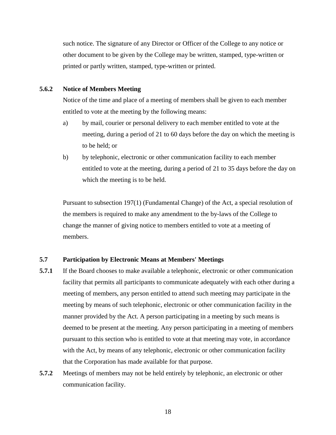such notice. The signature of any Director or Officer of the College to any notice or other document to be given by the College may be written, stamped, type-written or printed or partly written, stamped, type-written or printed.

#### **5.6.2 Notice of Members Meeting**

Notice of the time and place of a meeting of members shall be given to each member entitled to vote at the meeting by the following means:

- a) by mail, courier or personal delivery to each member entitled to vote at the meeting, during a period of 21 to 60 days before the day on which the meeting is to be held; or
- b) by telephonic, electronic or other communication facility to each member entitled to vote at the meeting, during a period of 21 to 35 days before the day on which the meeting is to be held.

Pursuant to subsection 197(1) (Fundamental Change) of the Act, a special resolution of the members is required to make any amendment to the by-laws of the College to change the manner of giving notice to members entitled to vote at a meeting of members.

#### **5.7 Participation by Electronic Means at Members' Meetings**

- **5.7.1** If the Board chooses to make available a telephonic, electronic or other communication facility that permits all participants to communicate adequately with each other during a meeting of members, any person entitled to attend such meeting may participate in the meeting by means of such telephonic, electronic or other communication facility in the manner provided by the Act. A person participating in a meeting by such means is deemed to be present at the meeting. Any person participating in a meeting of members pursuant to this section who is entitled to vote at that meeting may vote, in accordance with the Act, by means of any telephonic, electronic or other communication facility that the Corporation has made available for that purpose.
- **5.7.2** Meetings of members may not be held entirely by telephonic, an electronic or other communication facility.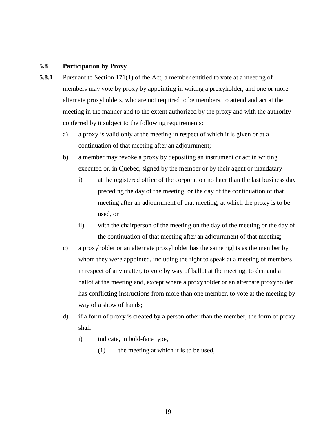## **5.8 Participation by Proxy**

- **5.8.1** Pursuant to Section 171(1) of the Act, a member entitled to vote at a meeting of members may vote by proxy by appointing in writing a proxyholder, and one or more alternate proxyholders, who are not required to be members, to attend and act at the meeting in the manner and to the extent authorized by the proxy and with the authority conferred by it subject to the following requirements:
	- a) a proxy is valid only at the meeting in respect of which it is given or at a continuation of that meeting after an adjournment;
	- b) a member may revoke a proxy by depositing an instrument or act in writing executed or, in Quebec, signed by the member or by their agent or mandatary
		- i) at the registered office of the corporation no later than the last business day preceding the day of the meeting, or the day of the continuation of that meeting after an adjournment of that meeting, at which the proxy is to be used, or
		- ii) with the chairperson of the meeting on the day of the meeting or the day of the continuation of that meeting after an adjournment of that meeting;
	- c) a proxyholder or an alternate proxyholder has the same rights as the member by whom they were appointed, including the right to speak at a meeting of members in respect of any matter, to vote by way of ballot at the meeting, to demand a ballot at the meeting and, except where a proxyholder or an alternate proxyholder has conflicting instructions from more than one member, to vote at the meeting by way of a show of hands;
	- d) if a form of proxy is created by a person other than the member, the form of proxy shall
		- i) indicate, in bold-face type,
			- (1) the meeting at which it is to be used,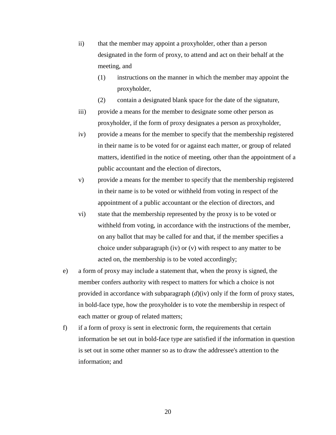- ii) that the member may appoint a proxyholder, other than a person designated in the form of proxy, to attend and act on their behalf at the meeting, and
	- (1) instructions on the manner in which the member may appoint the proxyholder,
	- (2) contain a designated blank space for the date of the signature,
- iii) provide a means for the member to designate some other person as proxyholder, if the form of proxy designates a person as proxyholder,
- iv) provide a means for the member to specify that the membership registered in their name is to be voted for or against each matter, or group of related matters, identified in the notice of meeting, other than the appointment of a public accountant and the election of directors,
- v) provide a means for the member to specify that the membership registered in their name is to be voted or withheld from voting in respect of the appointment of a public accountant or the election of directors, and
- vi) state that the membership represented by the proxy is to be voted or withheld from voting, in accordance with the instructions of the member, on any ballot that may be called for and that, if the member specifies a choice under subparagraph (iv) or (v) with respect to any matter to be acted on, the membership is to be voted accordingly;
- e) a form of proxy may include a statement that, when the proxy is signed, the member confers authority with respect to matters for which a choice is not provided in accordance with subparagraph (*d*)(iv) only if the form of proxy states, in bold-face type, how the proxyholder is to vote the membership in respect of each matter or group of related matters;
- f) if a form of proxy is sent in electronic form, the requirements that certain information be set out in bold-face type are satisfied if the information in question is set out in some other manner so as to draw the addressee's attention to the information; and

20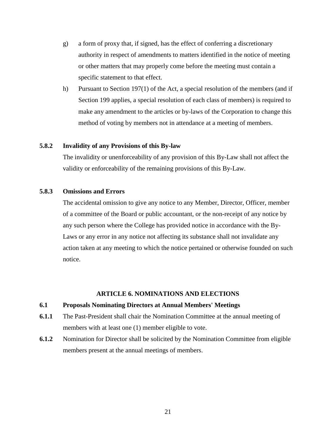- g) a form of proxy that, if signed, has the effect of conferring a discretionary authority in respect of amendments to matters identified in the notice of meeting or other matters that may properly come before the meeting must contain a specific statement to that effect.
- h) Pursuant to Section 197(1) of the Act, a special resolution of the members (and if Section 199 applies, a special resolution of each class of members) is required to make any amendment to the articles or by-laws of the Corporation to change this method of voting by members not in attendance at a meeting of members.

## **5.8.2 Invalidity of any Provisions of this By-law**

The invalidity or unenforceability of any provision of this By-Law shall not affect the validity or enforceability of the remaining provisions of this By-Law.

## **5.8.3 Omissions and Errors**

The accidental omission to give any notice to any Member, Director, Officer, member of a committee of the Board or public accountant, or the non-receipt of any notice by any such person where the College has provided notice in accordance with the By-Laws or any error in any notice not affecting its substance shall not invalidate any action taken at any meeting to which the notice pertained or otherwise founded on such notice.

### **ARTICLE 6. NOMINATIONS AND ELECTIONS**

#### **6.1 Proposals Nominating Directors at Annual Members' Meetings**

- **6.1.1** The Past-President shall chair the Nomination Committee at the annual meeting of members with at least one (1) member eligible to vote.
- **6.1.2** Nomination for Director shall be solicited by the Nomination Committee from eligible members present at the annual meetings of members.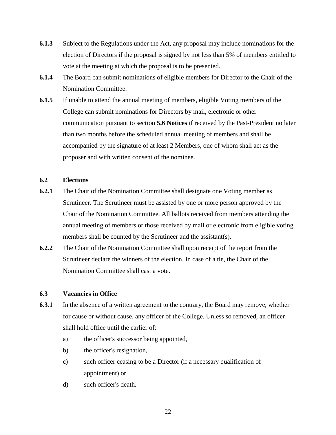- **6.1.3** Subject to the Regulations under the Act, any proposal may include nominations for the election of Directors if the proposal is signed by not less than 5% of members entitled to vote at the meeting at which the proposal is to be presented.
- **6.1.4** The Board can submit nominations of eligible members for Director to the Chair of the Nomination Committee.
- **6.1.5** If unable to attend the annual meeting of members, eligible Voting members of the College can submit nominations for Directors by mail, electronic or other communication pursuant to section **5.6 Notices** if received by the Past-President no later than two months before the scheduled annual meeting of members and shall be accompanied by the signature of at least 2 Members, one of whom shall act as the proposer and with written consent of the nominee.

## **6.2 Elections**

- **6.2.1** The Chair of the Nomination Committee shall designate one Voting member as Scrutineer. The Scrutineer must be assisted by one or more person approved by the Chair of the Nomination Committee. All ballots received from members attending the annual meeting of members or those received by mail or electronic from eligible voting members shall be counted by the Scrutineer and the assistant(s).
- **6.2.2** The Chair of the Nomination Committee shall upon receipt of the report from the Scrutineer declare the winners of the election. In case of a tie, the Chair of the Nomination Committee shall cast a vote.

## **6.3 Vacancies in Office**

- **6.3.1** In the absence of a written agreement to the contrary, the Board may remove, whether for cause or without cause, any officer of the College. Unless so removed, an officer shall hold office until the earlier of:
	- a) the officer's successor being appointed,
	- b) the officer's resignation,
	- c) such officer ceasing to be a Director (if a necessary qualification of appointment) or
	- d) such officer's death.

22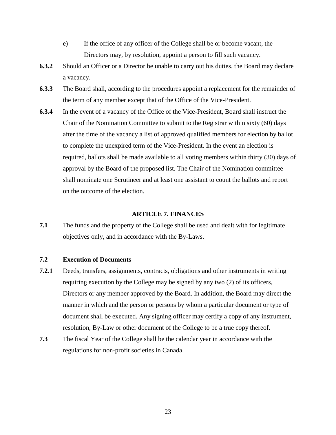- e) If the office of any officer of the College shall be or become vacant, the Directors may, by resolution, appoint a person to fill such vacancy.
- **6.3.2** Should an Officer or a Director be unable to carry out his duties, the Board may declare a vacancy.
- **6.3.3** The Board shall, according to the procedures appoint a replacement for the remainder of the term of any member except that of the Office of the Vice-President.
- **6.3.4** In the event of a vacancy of the Office of the Vice-President, Board shall instruct the Chair of the Nomination Committee to submit to the Registrar within sixty (60) days after the time of the vacancy a list of approved qualified members for election by ballot to complete the unexpired term of the Vice-President. In the event an election is required, ballots shall be made available to all voting members within thirty (30) days of approval by the Board of the proposed list. The Chair of the Nomination committee shall nominate one Scrutineer and at least one assistant to count the ballots and report on the outcome of the election.

#### **ARTICLE 7. FINANCES**

**7.1** The funds and the property of the College shall be used and dealt with for legitimate objectives only, and in accordance with the By-Laws.

## **7.2 Execution of Documents**

- **7.2.1** Deeds, transfers, assignments, contracts, obligations and other instruments in writing requiring execution by the College may be signed by any two (2) of its officers, Directors or any member approved by the Board. In addition, the Board may direct the manner in which and the person or persons by whom a particular document or type of document shall be executed. Any signing officer may certify a copy of any instrument, resolution, By-Law or other document of the College to be a true copy thereof.
- **7.3** The fiscal Year of the College shall be the calendar year in accordance with the regulations for non-profit societies in Canada.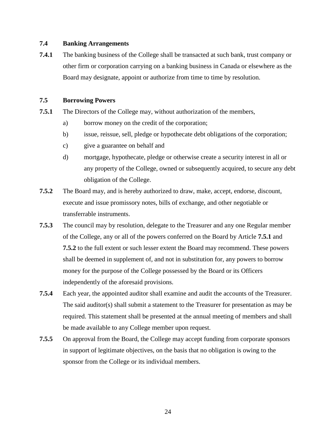## **7.4 Banking Arrangements**

**7.4.1** The banking business of the College shall be transacted at such bank, trust company or other firm or corporation carrying on a banking business in Canada or elsewhere as the Board may designate, appoint or authorize from time to time by resolution.

## **7.5 Borrowing Powers**

- **7.5.1** The Directors of the College may, without authorization of the members,
	- a) borrow money on the credit of the corporation;
	- b) issue, reissue, sell, pledge or hypothecate debt obligations of the corporation;
	- c) give a guarantee on behalf and
	- d) mortgage, hypothecate, pledge or otherwise create a security interest in all or any property of the College, owned or subsequently acquired, to secure any debt obligation of the College.
- **7.5.2** The Board may, and is hereby authorized to draw, make, accept, endorse, discount, execute and issue promissory notes, bills of exchange, and other negotiable or transferrable instruments.
- **7.5.3** The council may by resolution, delegate to the Treasurer and any one Regular member of the College, any or all of the powers conferred on the Board by Article **7.5.1** and **7.5.2** to the full extent or such lesser extent the Board may recommend. These powers shall be deemed in supplement of, and not in substitution for, any powers to borrow money for the purpose of the College possessed by the Board or its Officers independently of the aforesaid provisions.
- **7.5.4** Each year, the appointed auditor shall examine and audit the accounts of the Treasurer. The said auditor(s) shall submit a statement to the Treasurer for presentation as may be required. This statement shall be presented at the annual meeting of members and shall be made available to any College member upon request.
- **7.5.5** On approval from the Board, the College may accept funding from corporate sponsors in support of legitimate objectives, on the basis that no obligation is owing to the sponsor from the College or its individual members.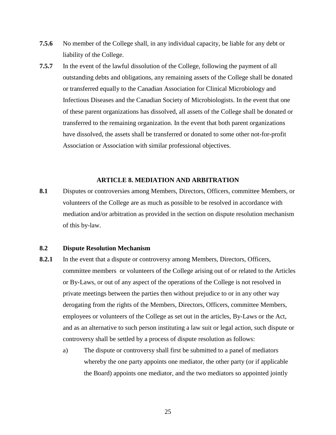- **7.5.6** No member of the College shall, in any individual capacity, be liable for any debt or liability of the College.
- **7.5.7** In the event of the lawful dissolution of the College, following the payment of all outstanding debts and obligations, any remaining assets of the College shall be donated or transferred equally to the Canadian Association for Clinical Microbiology and Infectious Diseases and the Canadian Society of Microbiologists. In the event that one of these parent organizations has dissolved, all assets of the College shall be donated or transferred to the remaining organization. In the event that both parent organizations have dissolved, the assets shall be transferred or donated to some other not-for-profit Association or Association with similar professional objectives.

#### **ARTICLE 8. MEDIATION AND ARBITRATION**

**8.1** Disputes or controversies among Members, Directors, Officers, committee Members, or volunteers of the College are as much as possible to be resolved in accordance with mediation and/or arbitration as provided in the section on dispute resolution mechanism of this by-law.

## **8.2 Dispute Resolution Mechanism**

- **8.2.1** In the event that a dispute or controversy among Members, Directors, Officers, committee members or volunteers of the College arising out of or related to the Articles or By-Laws, or out of any aspect of the operations of the College is not resolved in private meetings between the parties then without prejudice to or in any other way derogating from the rights of the Members, Directors, Officers, committee Members, employees or volunteers of the College as set out in the articles, By-Laws or the Act, and as an alternative to such person instituting a law suit or legal action, such dispute or controversy shall be settled by a process of dispute resolution as follows:
	- a) The dispute or controversy shall first be submitted to a panel of mediators whereby the one party appoints one mediator, the other party (or if applicable the Board) appoints one mediator, and the two mediators so appointed jointly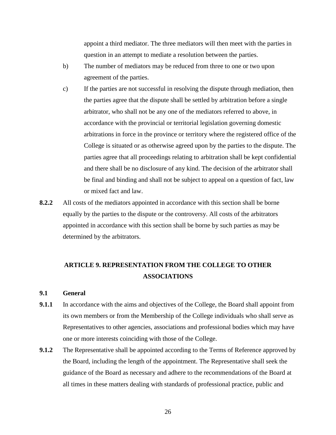appoint a third mediator. The three mediators will then meet with the parties in question in an attempt to mediate a resolution between the parties.

- b) The number of mediators may be reduced from three to one or two upon agreement of the parties.
- c) If the parties are not successful in resolving the dispute through mediation, then the parties agree that the dispute shall be settled by arbitration before a single arbitrator, who shall not be any one of the mediators referred to above, in accordance with the provincial or territorial legislation governing domestic arbitrations in force in the province or territory where the registered office of the College is situated or as otherwise agreed upon by the parties to the dispute. The parties agree that all proceedings relating to arbitration shall be kept confidential and there shall be no disclosure of any kind. The decision of the arbitrator shall be final and binding and shall not be subject to appeal on a question of fact, law or mixed fact and law.
- **8.2.2** All costs of the mediators appointed in accordance with this section shall be borne equally by the parties to the dispute or the controversy. All costs of the arbitrators appointed in accordance with this section shall be borne by such parties as may be determined by the arbitrators.

## **ARTICLE 9. REPRESENTATION FROM THE COLLEGE TO OTHER ASSOCIATIONS**

## **9.1 General**

- **9.1.1** In accordance with the aims and objectives of the College, the Board shall appoint from its own members or from the Membership of the College individuals who shall serve as Representatives to other agencies, associations and professional bodies which may have one or more interests coinciding with those of the College.
- **9.1.2** The Representative shall be appointed according to the Terms of Reference approved by the Board, including the length of the appointment. The Representative shall seek the guidance of the Board as necessary and adhere to the recommendations of the Board at all times in these matters dealing with standards of professional practice, public and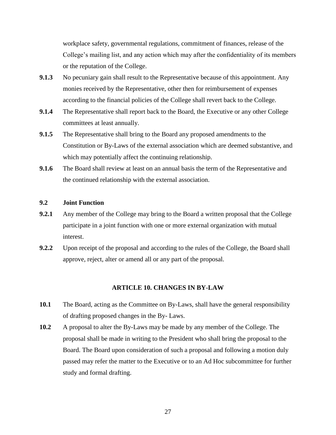workplace safety, governmental regulations, commitment of finances, release of the College's mailing list, and any action which may after the confidentiality of its members or the reputation of the College.

- **9.1.3** No pecuniary gain shall result to the Representative because of this appointment. Any monies received by the Representative, other then for reimbursement of expenses according to the financial policies of the College shall revert back to the College.
- **9.1.4** The Representative shall report back to the Board, the Executive or any other College committees at least annually.
- **9.1.5** The Representative shall bring to the Board any proposed amendments to the Constitution or By-Laws of the external association which are deemed substantive, and which may potentially affect the continuing relationship.
- **9.1.6** The Board shall review at least on an annual basis the term of the Representative and the continued relationship with the external association.

## **9.2 Joint Function**

- **9.2.1** Any member of the College may bring to the Board a written proposal that the College participate in a joint function with one or more external organization with mutual interest.
- **9.2.2** Upon receipt of the proposal and according to the rules of the College, the Board shall approve, reject, alter or amend all or any part of the proposal.

## **ARTICLE 10. CHANGES IN BY-LAW**

- 10.1 The Board, acting as the Committee on By-Laws, shall have the general responsibility of drafting proposed changes in the By- Laws.
- **10.2** A proposal to alter the By-Laws may be made by any member of the College. The proposal shall be made in writing to the President who shall bring the proposal to the Board. The Board upon consideration of such a proposal and following a motion duly passed may refer the matter to the Executive or to an Ad Hoc subcommittee for further study and formal drafting.